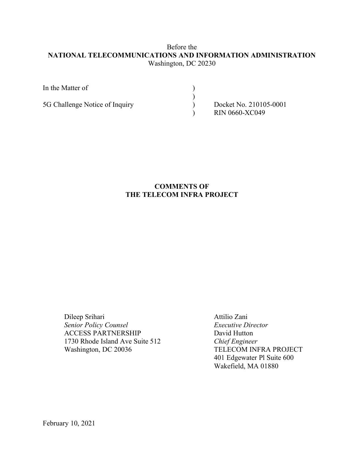### Before the **NATIONAL TELECOMMUNICATIONS AND INFORMATION ADMINISTRATION** Washington, DC 20230

| In the Matter of               |                                                 |
|--------------------------------|-------------------------------------------------|
| 5G Challenge Notice of Inquiry | Docket No. 210105-0001<br><b>RIN 0660-XC049</b> |

## **COMMENTS OF THE TELECOM INFRA PROJECT**

Dileep Srihari Attilio Zani *Senior Policy Counsel Executive Director* ACCESS PARTNERSHIP David Hutton 1730 Rhode Island Ave Suite 512 *Chief Engineer* Washington, DC 20036 TELECOM INFRA PROJECT

401 Edgewater Pl Suite 600 Wakefield, MA 01880

February 10, 2021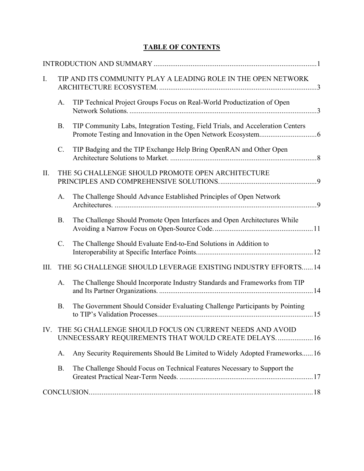# **TABLE OF CONTENTS**

| $\mathbf{I}$ . |                 | TIP AND ITS COMMUNITY PLAY A LEADING ROLE IN THE OPEN NETWORK                                                    |  |
|----------------|-----------------|------------------------------------------------------------------------------------------------------------------|--|
|                | A.              | TIP Technical Project Groups Focus on Real-World Productization of Open                                          |  |
|                | <b>B.</b>       | TIP Community Labs, Integration Testing, Field Trials, and Acceleration Centers                                  |  |
|                | $\mathbf{C}$ .  | TIP Badging and the TIP Exchange Help Bring OpenRAN and Other Open                                               |  |
| II.            |                 | THE 5G CHALLENGE SHOULD PROMOTE OPEN ARCHITECTURE                                                                |  |
|                | A.              | The Challenge Should Advance Established Principles of Open Network                                              |  |
|                | <b>B.</b>       | The Challenge Should Promote Open Interfaces and Open Architectures While                                        |  |
|                | $\mathcal{C}$ . | The Challenge Should Evaluate End-to-End Solutions in Addition to                                                |  |
| III.           |                 | THE 5G CHALLENGE SHOULD LEVERAGE EXISTING INDUSTRY EFFORTS14                                                     |  |
|                | A.              | The Challenge Should Incorporate Industry Standards and Frameworks from TIP                                      |  |
|                | <b>B.</b>       | The Government Should Consider Evaluating Challenge Participants by Pointing                                     |  |
| IV.            |                 | THE 5G CHALLENGE SHOULD FOCUS ON CURRENT NEEDS AND AVOID<br>UNNECESSARY REQUIREMENTS THAT WOULD CREATE DELAYS 16 |  |
|                | A.              | Any Security Requirements Should Be Limited to Widely Adopted Frameworks16                                       |  |
|                | <b>B.</b>       | The Challenge Should Focus on Technical Features Necessary to Support the                                        |  |
|                |                 |                                                                                                                  |  |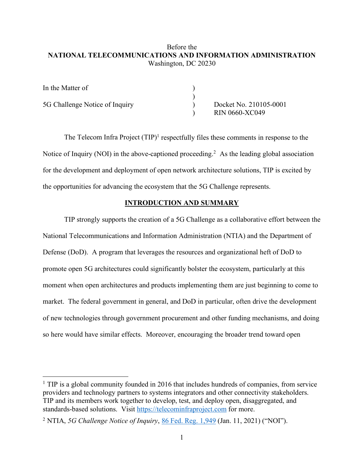### Before the **NATIONAL TELECOMMUNICATIONS AND INFORMATION ADMINISTRATION** Washington, DC 20230

| In the Matter of               |                                                 |
|--------------------------------|-------------------------------------------------|
| 5G Challenge Notice of Inquiry | Docket No. 210105-0001<br><b>RIN 0660-XC049</b> |

The Telecom Infra Project (TIP)<sup>1</sup> respectfully files these comments in response to the Notice of Inquiry (NOI) in the above-captioned proceeding.<sup>2</sup> As the leading global association for the development and deployment of open network architecture solutions, TIP is excited by the opportunities for advancing the ecosystem that the 5G Challenge represents.

#### **INTRODUCTION AND SUMMARY**

TIP strongly supports the creation of a 5G Challenge as a collaborative effort between the National Telecommunications and Information Administration (NTIA) and the Department of Defense (DoD). A program that leverages the resources and organizational heft of DoD to promote open 5G architectures could significantly bolster the ecosystem, particularly at this moment when open architectures and products implementing them are just beginning to come to market. The federal government in general, and DoD in particular, often drive the development of new technologies through government procurement and other funding mechanisms, and doing so here would have similar effects. Moreover, encouraging the broader trend toward open

<sup>&</sup>lt;sup>1</sup> TIP is a global community founded in 2016 that includes hundreds of companies, from service providers and technology partners to systems integrators and other connectivity stakeholders. TIP and its members work together to develop, test, and deploy open, disaggregated, and standards-based solutions. Visit https://telecominfraproject.com for more.

<sup>2</sup> NTIA, *5G Challenge Notice of Inquiry*, 86 Fed. Reg. 1,949 (Jan. 11, 2021) ("NOI").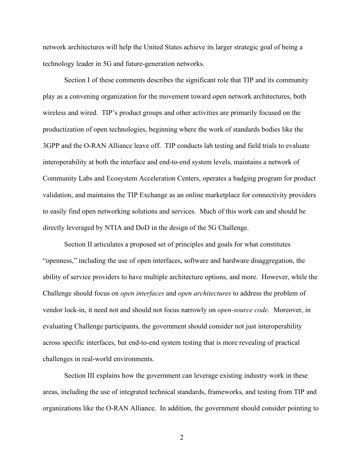network architectures will help the United States achieve its larger strategic goal of being a technology leader in 5G and future-generation networks.

Section I of these comments describes the significant role that TIP and its community play as a convening organization for the movement toward open network architectures, both wireless and wired. TIP's product groups and other activities are primarily focused on the productization of open technologies, beginning where the work of standards bodies like the 3GPP and the O-RAN Alliance leave off. TIP conducts lab testing and field trials to evaluate interoperability at both the interface and end-to-end system levels, maintains a network of Community Labs and Ecosystem Acceleration Centers, operates a badging program for product validation, and maintains the TIP Exchange as an online marketplace for connectivity providers to easily find open networking solutions and services. Much of this work can and should be directly leveraged by NTIA and DoD in the design of the 5G Challenge.

Section II articulates a proposed set of principles and goals for what constitutes "openness," including the use of open interfaces, software and hardware disaggregation, the ability of service providers to have multiple architecture options, and more. However, while the Challenge should focus on *open interfaces* and *open architectures* to address the problem of vendor lock-in, it need not and should not focus narrowly on *open-source code*. Moreover, in evaluating Challenge participants, the government should consider not just interoperability across specific interfaces, but end-to-end system testing that is more revealing of practical challenges in real-world environments.

Section III explains how the government can leverage existing industry work in these areas, including the use of integrated technical standards, frameworks, and testing from TIP and organizations like the O-RAN Alliance. In addition, the government should consider pointing to

2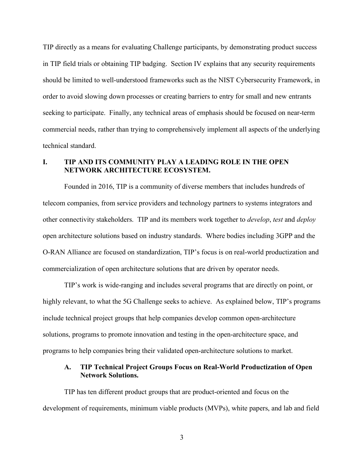TIP directly as a means for evaluating Challenge participants, by demonstrating product success in TIP field trials or obtaining TIP badging. Section IV explains that any security requirements should be limited to well-understood frameworks such as the NIST Cybersecurity Framework, in order to avoid slowing down processes or creating barriers to entry for small and new entrants seeking to participate. Finally, any technical areas of emphasis should be focused on near-term commercial needs, rather than trying to comprehensively implement all aspects of the underlying technical standard.

### **I. TIP AND ITS COMMUNITY PLAY A LEADING ROLE IN THE OPEN NETWORK ARCHITECTURE ECOSYSTEM.**

Founded in 2016, TIP is a community of diverse members that includes hundreds of telecom companies, from service providers and technology partners to systems integrators and other connectivity stakeholders. TIP and its members work together to *develop*, *test* and *deploy* open architecture solutions based on industry standards. Where bodies including 3GPP and the O-RAN Alliance are focused on standardization, TIP's focus is on real-world productization and commercialization of open architecture solutions that are driven by operator needs.

TIP's work is wide-ranging and includes several programs that are directly on point, or highly relevant, to what the 5G Challenge seeks to achieve. As explained below, TIP's programs include technical project groups that help companies develop common open-architecture solutions, programs to promote innovation and testing in the open-architecture space, and programs to help companies bring their validated open-architecture solutions to market.

### **A. TIP Technical Project Groups Focus on Real-World Productization of Open Network Solutions.**

TIP has ten different product groups that are product-oriented and focus on the development of requirements, minimum viable products (MVPs), white papers, and lab and field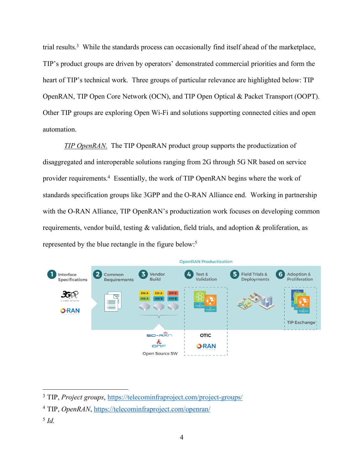trial results.<sup>3</sup> While the standards process can occasionally find itself ahead of the marketplace, TIP's product groups are driven by operators' demonstrated commercial priorities and form the heart of TIP's technical work. Three groups of particular relevance are highlighted below: TIP OpenRAN, TIP Open Core Network (OCN), and TIP Open Optical & Packet Transport (OOPT). Other TIP groups are exploring Open Wi-Fi and solutions supporting connected cities and open automation.

*TIP OpenRAN.* The TIP OpenRAN product group supports the productization of disaggregated and interoperable solutions ranging from 2G through 5G NR based on service provider requirements.<sup>4</sup> Essentially, the work of TIP OpenRAN begins where the work of standards specification groups like 3GPP and the O-RAN Alliance end. Working in partnership with the O-RAN Alliance, TIP OpenRAN's productization work focuses on developing common requirements, vendor build, testing  $\&$  validation, field trials, and adoption  $\&$  proliferation, as represented by the blue rectangle in the figure below: 5



<sup>5</sup> *Id.*

 <sup>3</sup> TIP, *Project groups*, https://telecominfraproject.com/project-groups/

<sup>4</sup> TIP, *OpenRAN*, https://telecominfraproject.com/openran/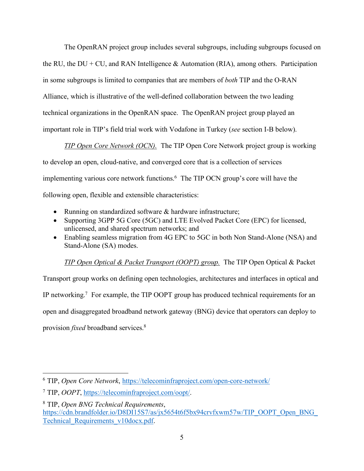The OpenRAN project group includes several subgroups, including subgroups focused on the RU, the DU + CU, and RAN Intelligence  $\&$  Automation (RIA), among others. Participation in some subgroups is limited to companies that are members of *both* TIP and the O-RAN Alliance, which is illustrative of the well-defined collaboration between the two leading technical organizations in the OpenRAN space. The OpenRAN project group played an important role in TIP's field trial work with Vodafone in Turkey (*see* section I-B below).

*TIP Open Core Network (OCN).* The TIP Open Core Network project group is working to develop an open, cloud-native, and converged core that is a collection of services implementing various core network functions.6 The TIP OCN group's core will have the following open, flexible and extensible characteristics:

- Running on standardized software & hardware infrastructure;
- Supporting 3GPP 5G Core (5GC) and LTE Evolved Packet Core (EPC) for licensed, unlicensed, and shared spectrum networks; and
- Enabling seamless migration from 4G EPC to 5GC in both Non Stand-Alone (NSA) and Stand-Alone (SA) modes.

*TIP Open Optical & Packet Transport (OOPT) group.* The TIP Open Optical & Packet

Transport group works on defining open technologies, architectures and interfaces in optical and IP networking.7 For example, the TIP OOPT group has produced technical requirements for an open and disaggregated broadband network gateway (BNG) device that operators can deploy to provision *fixed* broadband services.8

 <sup>6</sup> TIP, *Open Core Network*, https://telecominfraproject.com/open-core-network/

<sup>7</sup> TIP, *OOPT*, https://telecominfraproject.com/oopt/.

<sup>8</sup> TIP, *Open BNG Technical Requirements*, https://cdn.brandfolder.io/D8DI15S7/as/jx5654t6f5bx94crvfxwm57w/TIP\_OOPT\_Open\_BNG\_ Technical\_Requirements\_v10docx.pdf.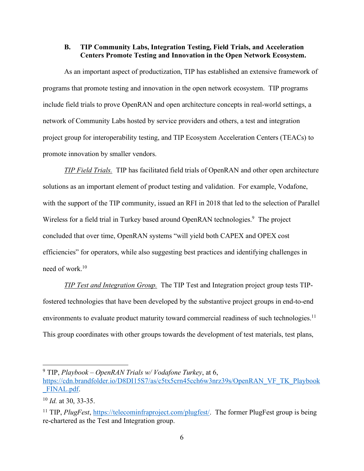#### **B. TIP Community Labs, Integration Testing, Field Trials, and Acceleration Centers Promote Testing and Innovation in the Open Network Ecosystem.**

As an important aspect of productization, TIP has established an extensive framework of programs that promote testing and innovation in the open network ecosystem. TIP programs include field trials to prove OpenRAN and open architecture concepts in real-world settings, a network of Community Labs hosted by service providers and others, a test and integration project group for interoperability testing, and TIP Ecosystem Acceleration Centers (TEACs) to promote innovation by smaller vendors.

*TIP Field Trials.* TIP has facilitated field trials of OpenRAN and other open architecture solutions as an important element of product testing and validation. For example, Vodafone, with the support of the TIP community, issued an RFI in 2018 that led to the selection of Parallel Wireless for a field trial in Turkey based around OpenRAN technologies.<sup>9</sup> The project concluded that over time, OpenRAN systems "will yield both CAPEX and OPEX cost efficiencies" for operators, while also suggesting best practices and identifying challenges in need of work.10

*TIP Test and Integration Group.* The TIP Test and Integration project group tests TIPfostered technologies that have been developed by the substantive project groups in end-to-end environments to evaluate product maturity toward commercial readiness of such technologies.<sup>11</sup> This group coordinates with other groups towards the development of test materials, test plans,

 <sup>9</sup> TIP, *Playbook – OpenRAN Trials w/ Vodafone Turkey*, at 6,

https://cdn.brandfolder.io/D8DI15S7/as/c5tx5crn45cch6w3nrz39s/OpenRAN\_VF\_TK\_Playbook \_FINAL.pdf.

<sup>10</sup> *Id.* at 30, 33-35.

<sup>11</sup> TIP, *PlugFest*, https://telecominfraproject.com/plugfest/. The former PlugFest group is being re-chartered as the Test and Integration group.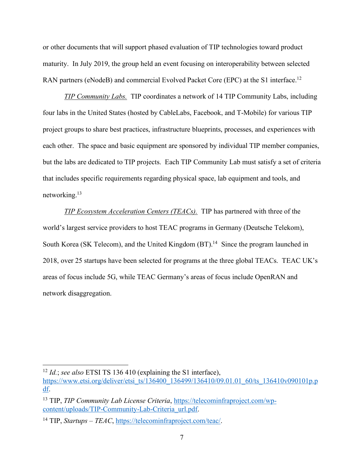or other documents that will support phased evaluation of TIP technologies toward product maturity. In July 2019, the group held an event focusing on interoperability between selected RAN partners (eNodeB) and commercial Evolved Packet Core (EPC) at the S1 interface.<sup>12</sup>

*TIP Community Labs.*TIP coordinates a network of 14 TIP Community Labs, including four labs in the United States (hosted by CableLabs, Facebook, and T-Mobile) for various TIP project groups to share best practices, infrastructure blueprints, processes, and experiences with each other. The space and basic equipment are sponsored by individual TIP member companies, but the labs are dedicated to TIP projects. Each TIP Community Lab must satisfy a set of criteria that includes specific requirements regarding physical space, lab equipment and tools, and networking.13

*TIP Ecosystem Acceleration Centers (TEACs).*TIP has partnered with three of the world's largest service providers to host TEAC programs in Germany (Deutsche Telekom), South Korea (SK Telecom), and the United Kingdom (BT).<sup>14</sup> Since the program launched in 2018, over 25 startups have been selected for programs at the three global TEACs. TEAC UK's areas of focus include 5G, while TEAC Germany's areas of focus include OpenRAN and network disaggregation.

 <sup>12</sup> *Id.*; *see also* ETSI TS 136 410 (explaining the S1 interface),

https://www.etsi.org/deliver/etsi\_ts/136400\_136499/136410/09.01.01\_60/ts\_136410v090101p.p df.

<sup>13</sup> TIP, *TIP Community Lab License Criteria*, https://telecominfraproject.com/wpcontent/uploads/TIP-Community-Lab-Criteria\_url.pdf.

<sup>14</sup> TIP, *Startups – TEAC*, https://telecominfraproject.com/teac/.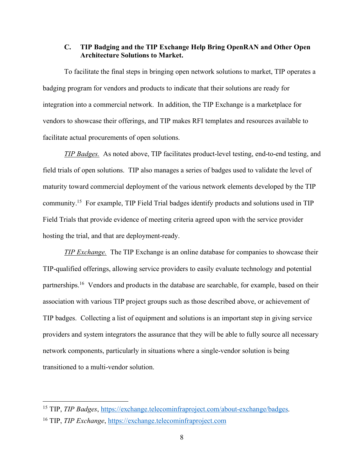### **C. TIP Badging and the TIP Exchange Help Bring OpenRAN and Other Open Architecture Solutions to Market.**

To facilitate the final steps in bringing open network solutions to market, TIP operates a badging program for vendors and products to indicate that their solutions are ready for integration into a commercial network. In addition, the TIP Exchange is a marketplace for vendors to showcase their offerings, and TIP makes RFI templates and resources available to facilitate actual procurements of open solutions.

*TIP Badges.*As noted above, TIP facilitates product-level testing, end-to-end testing, and field trials of open solutions. TIP also manages a series of badges used to validate the level of maturity toward commercial deployment of the various network elements developed by the TIP community. <sup>15</sup> For example, TIP Field Trial badges identify products and solutions used in TIP Field Trials that provide evidence of meeting criteria agreed upon with the service provider hosting the trial, and that are deployment-ready.

*TIP Exchange.*The TIP Exchange is an online database for companies to showcase their TIP-qualified offerings, allowing service providers to easily evaluate technology and potential partnerships.<sup>16</sup> Vendors and products in the database are searchable, for example, based on their association with various TIP project groups such as those described above, or achievement of TIP badges. Collecting a list of equipment and solutions is an important step in giving service providers and system integrators the assurance that they will be able to fully source all necessary network components, particularly in situations where a single-vendor solution is being transitioned to a multi-vendor solution.

 <sup>15</sup> TIP, *TIP Badges*, https://exchange.telecominfraproject.com/about-exchange/badges. <sup>16</sup> TIP, *TIP Exchange*, https://exchange.telecominfraproject.com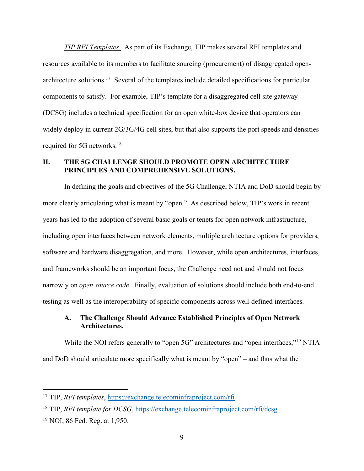*TIP RFI Templates.* As part of its Exchange, TIP makes several RFI templates and resources available to its members to facilitate sourcing (procurement) of disaggregated openarchitecture solutions.17 Several of the templates include detailed specifications for particular components to satisfy. For example, TIP's template for a disaggregated cell site gateway (DCSG) includes a technical specification for an open white-box device that operators can widely deploy in current  $2G/3G/4G$  cell sites, but that also supports the port speeds and densities required for 5G networks.<sup>18</sup>

### **II. THE 5G CHALLENGE SHOULD PROMOTE OPEN ARCHITECTURE PRINCIPLES AND COMPREHENSIVE SOLUTIONS.**

In defining the goals and objectives of the 5G Challenge, NTIA and DoD should begin by more clearly articulating what is meant by "open." As described below, TIP's work in recent years has led to the adoption of several basic goals or tenets for open network infrastructure, including open interfaces between network elements, multiple architecture options for providers, software and hardware disaggregation, and more. However, while open architectures, interfaces, and frameworks should be an important focus, the Challenge need not and should not focus narrowly on *open source code*. Finally, evaluation of solutions should include both end-to-end testing as well as the interoperability of specific components across well-defined interfaces.

### **A. The Challenge Should Advance Established Principles of Open Network Architectures.**

While the NOI refers generally to "open 5G" architectures and "open interfaces,"<sup>19</sup> NTIA and DoD should articulate more specifically what is meant by "open" – and thus what the

 <sup>17</sup> TIP, *RFI templates*, https://exchange.telecominfraproject.com/rfi

<sup>&</sup>lt;sup>18</sup> TIP, *RFI template for DCSG*, https://exchange.telecominfraproject.com/rfi/dcsg

<sup>19</sup> NOI, 86 Fed. Reg. at 1,950.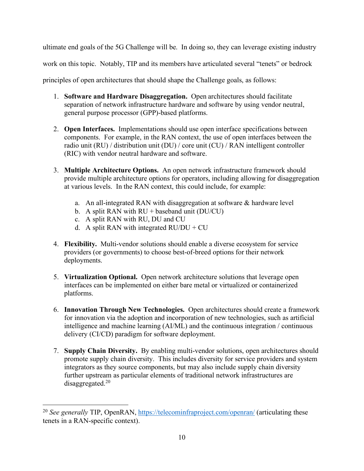ultimate end goals of the 5G Challenge will be. In doing so, they can leverage existing industry

work on this topic. Notably, TIP and its members have articulated several "tenets" or bedrock

principles of open architectures that should shape the Challenge goals, as follows:

- 1. **Software and Hardware Disaggregation.** Open architectures should facilitate separation of network infrastructure hardware and software by using vendor neutral, general purpose processor (GPP)-based platforms.
- 2. **Open Interfaces.** Implementations should use open interface specifications between components. For example, in the RAN context, the use of open interfaces between the radio unit (RU) / distribution unit (DU) / core unit (CU) / RAN intelligent controller (RIC) with vendor neutral hardware and software.
- 3. **Multiple Architecture Options.** An open network infrastructure framework should provide multiple architecture options for operators, including allowing for disaggregation at various levels. In the RAN context, this could include, for example:
	- a. An all-integrated RAN with disaggregation at software  $\&$  hardware level
	- b. A split RAN with  $RU +$  baseband unit (DU/CU)
	- c. A split RAN with RU, DU and CU
	- d. A split RAN with integrated  $RU/DU + CU$
- 4. **Flexibility.** Multi-vendor solutions should enable a diverse ecosystem for service providers (or governments) to choose best-of-breed options for their network deployments.
- 5. **Virtualization Optional.** Open network architecture solutions that leverage open interfaces can be implemented on either bare metal or virtualized or containerized platforms.
- 6. **Innovation Through New Technologies.** Open architectures should create a framework for innovation via the adoption and incorporation of new technologies, such as artificial intelligence and machine learning (AI/ML) and the continuous integration / continuous delivery (CI/CD) paradigm for software deployment.
- 7. **Supply Chain Diversity.** By enabling multi-vendor solutions, open architectures should promote supply chain diversity. This includes diversity for service providers and system integrators as they source components, but may also include supply chain diversity further upstream as particular elements of traditional network infrastructures are disaggregated. $20$

<sup>&</sup>lt;sup>20</sup> *See generally* TIP, OpenRAN, https://telecominfraproject.com/openran/ (articulating these tenets in a RAN-specific context).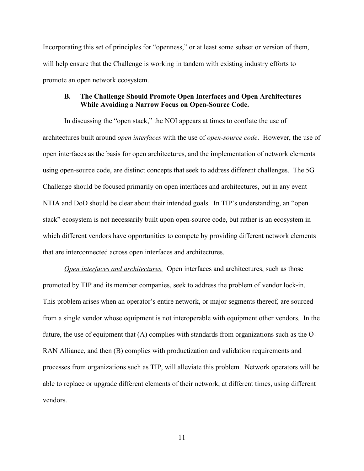Incorporating this set of principles for "openness," or at least some subset or version of them, will help ensure that the Challenge is working in tandem with existing industry efforts to promote an open network ecosystem.

#### **B. The Challenge Should Promote Open Interfaces and Open Architectures While Avoiding a Narrow Focus on Open-Source Code.**

In discussing the "open stack," the NOI appears at times to conflate the use of architectures built around *open interfaces* with the use of *open-source code*. However, the use of open interfaces as the basis for open architectures, and the implementation of network elements using open-source code, are distinct concepts that seek to address different challenges. The 5G Challenge should be focused primarily on open interfaces and architectures, but in any event NTIA and DoD should be clear about their intended goals. In TIP's understanding, an "open stack" ecosystem is not necessarily built upon open-source code, but rather is an ecosystem in which different vendors have opportunities to compete by providing different network elements that are interconnected across open interfaces and architectures.

*Open interfaces and architectures.* Open interfaces and architectures, such as those promoted by TIP and its member companies, seek to address the problem of vendor lock-in. This problem arises when an operator's entire network, or major segments thereof, are sourced from a single vendor whose equipment is not interoperable with equipment other vendors. In the future, the use of equipment that (A) complies with standards from organizations such as the O-RAN Alliance, and then (B) complies with productization and validation requirements and processes from organizations such as TIP, will alleviate this problem. Network operators will be able to replace or upgrade different elements of their network, at different times, using different vendors.

11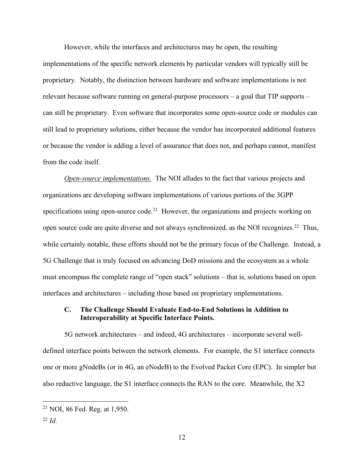However, while the interfaces and architectures may be open, the resulting implementations of the specific network elements by particular vendors will typically still be proprietary. Notably, the distinction between hardware and software implementations is not relevant because software running on general-purpose processors – a goal that TIP supports – can still be proprietary. Even software that incorporates some open-source code or modules can still lead to proprietary solutions, either because the vendor has incorporated additional features or because the vendor is adding a level of assurance that does not, and perhaps cannot, manifest from the code itself.

*Open-source implementations.* The NOI alludes to the fact that various projects and organizations are developing software implementations of various portions of the 3GPP specifications using open-source code.<sup>21</sup> However, the organizations and projects working on open source code are quite diverse and not always synchronized, as the NOI recognizes.<sup>22</sup> Thus, while certainly notable, these efforts should not be the primary focus of the Challenge. Instead, a 5G Challenge that is truly focused on advancing DoD missions and the ecosystem as a whole must encompass the complete range of "open stack" solutions – that is, solutions based on open interfaces and architectures – including those based on proprietary implementations.

#### **C. The Challenge Should Evaluate End-to-End Solutions in Addition to Interoperability at Specific Interface Points.**

5G network architectures – and indeed, 4G architectures – incorporate several welldefined interface points between the network elements. For example, the S1 interface connects one or more gNodeBs (or in 4G, an eNodeB) to the Evolved Packet Core (EPC). In simpler but also reductive language, the S1 interface connects the RAN to the core. Meanwhile, the X2

 <sup>21</sup> NOI, 86 Fed. Reg. at 1,950.

<sup>22</sup> *Id.*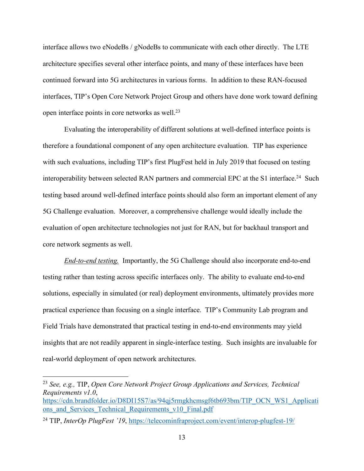interface allows two eNodeBs / gNodeBs to communicate with each other directly. The LTE architecture specifies several other interface points, and many of these interfaces have been continued forward into 5G architectures in various forms. In addition to these RAN-focused interfaces, TIP's Open Core Network Project Group and others have done work toward defining open interface points in core networks as well.23

Evaluating the interoperability of different solutions at well-defined interface points is therefore a foundational component of any open architecture evaluation. TIP has experience with such evaluations, including TIP's first PlugFest held in July 2019 that focused on testing interoperability between selected RAN partners and commercial EPC at the S1 interface.<sup>24</sup> Such testing based around well-defined interface points should also form an important element of any 5G Challenge evaluation. Moreover, a comprehensive challenge would ideally include the evaluation of open architecture technologies not just for RAN, but for backhaul transport and core network segments as well.

*End-to-end testing.* Importantly, the 5G Challenge should also incorporate end-to-end testing rather than testing across specific interfaces only. The ability to evaluate end-to-end solutions, especially in simulated (or real) deployment environments, ultimately provides more practical experience than focusing on a single interface. TIP's Community Lab program and Field Trials have demonstrated that practical testing in end-to-end environments may yield insights that are not readily apparent in single-interface testing. Such insights are invaluable for real-world deployment of open network architectures.

 <sup>23</sup> *See, e.g.,* TIP, *Open Core Network Project Group Applications and Services, Technical Requirements v1.0*,

https://cdn.brandfolder.io/D8DI15S7/as/94qj5rmgkhcmsgf6tb693bm/TIP\_OCN\_WS1\_Applicati ons and Services Technical Requirements v10 Final.pdf

<sup>24</sup> TIP, *InterOp PlugFest '19*, https://telecominfraproject.com/event/interop-plugfest-19/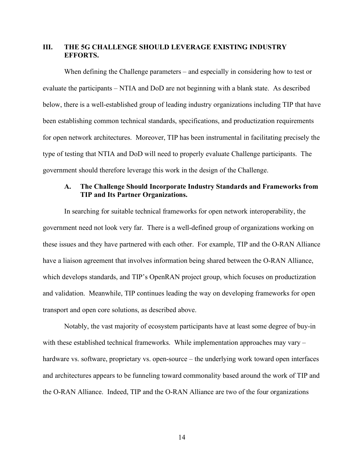### **III. THE 5G CHALLENGE SHOULD LEVERAGE EXISTING INDUSTRY EFFORTS.**

When defining the Challenge parameters – and especially in considering how to test or evaluate the participants – NTIA and DoD are not beginning with a blank state. As described below, there is a well-established group of leading industry organizations including TIP that have been establishing common technical standards, specifications, and productization requirements for open network architectures. Moreover, TIP has been instrumental in facilitating precisely the type of testing that NTIA and DoD will need to properly evaluate Challenge participants. The government should therefore leverage this work in the design of the Challenge.

### **A. The Challenge Should Incorporate Industry Standards and Frameworks from TIP and Its Partner Organizations.**

In searching for suitable technical frameworks for open network interoperability, the government need not look very far. There is a well-defined group of organizations working on these issues and they have partnered with each other. For example, TIP and the O-RAN Alliance have a liaison agreement that involves information being shared between the O-RAN Alliance, which develops standards, and TIP's OpenRAN project group, which focuses on productization and validation. Meanwhile, TIP continues leading the way on developing frameworks for open transport and open core solutions, as described above.

Notably, the vast majority of ecosystem participants have at least some degree of buy-in with these established technical frameworks. While implementation approaches may vary – hardware vs. software, proprietary vs. open-source – the underlying work toward open interfaces and architectures appears to be funneling toward commonality based around the work of TIP and the O-RAN Alliance. Indeed, TIP and the O-RAN Alliance are two of the four organizations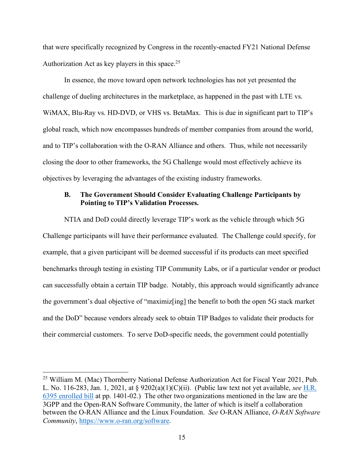that were specifically recognized by Congress in the recently-enacted FY21 National Defense Authorization Act as key players in this space.<sup>25</sup>

In essence, the move toward open network technologies has not yet presented the challenge of dueling architectures in the marketplace, as happened in the past with LTE vs. WiMAX, Blu-Ray vs. HD-DVD, or VHS vs. BetaMax. This is due in significant part to TIP's global reach, which now encompasses hundreds of member companies from around the world, and to TIP's collaboration with the O-RAN Alliance and others. Thus, while not necessarily closing the door to other frameworks, the 5G Challenge would most effectively achieve its objectives by leveraging the advantages of the existing industry frameworks.

#### **B. The Government Should Consider Evaluating Challenge Participants by Pointing to TIP's Validation Processes.**

NTIA and DoD could directly leverage TIP's work as the vehicle through which 5G Challenge participants will have their performance evaluated. The Challenge could specify, for example, that a given participant will be deemed successful if its products can meet specified benchmarks through testing in existing TIP Community Labs, or if a particular vendor or product can successfully obtain a certain TIP badge. Notably, this approach would significantly advance the government's dual objective of "maximiz[ing] the benefit to both the open 5G stack market and the DoD" because vendors already seek to obtain TIP Badges to validate their products for their commercial customers. To serve DoD-specific needs, the government could potentially

 <sup>25</sup> William M. (Mac) Thornberry National Defense Authorization Act for Fiscal Year 2021, Pub. L. No. 116-283, Jan. 1, 2021, at § 9202(a)(1)(C)(ii). (Public law text not yet available, *see* H.R. 6395 enrolled bill at pp. 1401-02.) The other two organizations mentioned in the law are the 3GPP and the Open-RAN Software Community, the latter of which is itself a collaboration between the O-RAN Alliance and the Linux Foundation. *See* O-RAN Alliance, *O-RAN Software Community*, https://www.o-ran.org/software.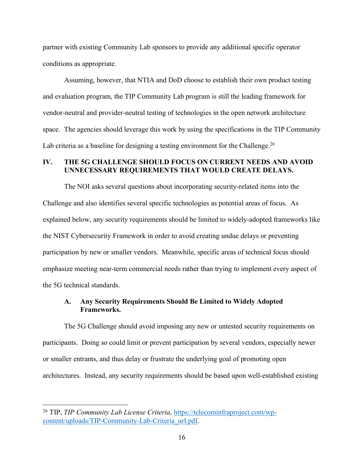partner with existing Community Lab sponsors to provide any additional specific operator conditions as appropriate.

Assuming, however, that NTIA and DoD choose to establish their own product testing and evaluation program, the TIP Community Lab program is still the leading framework for vendor-neutral and provider-neutral testing of technologies in the open network architecture space. The agencies should leverage this work by using the specifications in the TIP Community Lab criteria as a baseline for designing a testing environment for the Challenge.<sup>26</sup>

### **IV. THE 5G CHALLENGE SHOULD FOCUS ON CURRENT NEEDS AND AVOID UNNECESSARY REQUIREMENTS THAT WOULD CREATE DELAYS.**

The NOI asks several questions about incorporating security-related items into the Challenge and also identifies several specific technologies as potential areas of focus. As explained below, any security requirements should be limited to widely-adopted frameworks like the NIST Cybersecurity Framework in order to avoid creating undue delays or preventing participation by new or smaller vendors. Meanwhile, specific areas of technical focus should emphasize meeting near-term commercial needs rather than trying to implement every aspect of the 5G technical standards.

### **A. Any Security Requirements Should Be Limited to Widely Adopted Frameworks.**

The 5G Challenge should avoid imposing any new or untested security requirements on participants. Doing so could limit or prevent participation by several vendors, especially newer or smaller entrants, and thus delay or frustrate the underlying goal of promoting open architectures. Instead, any security requirements should be based upon well-established existing

 <sup>26</sup> TIP, *TIP Community Lab License Criteria*, https://telecominfraproject.com/wpcontent/uploads/TIP-Community-Lab-Criteria\_url.pdf.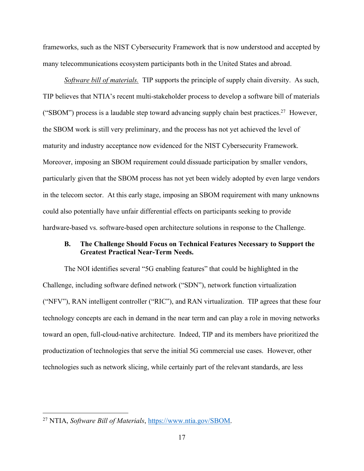frameworks, such as the NIST Cybersecurity Framework that is now understood and accepted by many telecommunications ecosystem participants both in the United States and abroad.

*Software bill of materials.* TIP supports the principle of supply chain diversity. As such, TIP believes that NTIA's recent multi-stakeholder process to develop a software bill of materials ("SBOM") process is a laudable step toward advancing supply chain best practices.<sup>27</sup> However, the SBOM work is still very preliminary, and the process has not yet achieved the level of maturity and industry acceptance now evidenced for the NIST Cybersecurity Framework. Moreover, imposing an SBOM requirement could dissuade participation by smaller vendors, particularly given that the SBOM process has not yet been widely adopted by even large vendors in the telecom sector. At this early stage, imposing an SBOM requirement with many unknowns could also potentially have unfair differential effects on participants seeking to provide hardware-based vs. software-based open architecture solutions in response to the Challenge.

### **B. The Challenge Should Focus on Technical Features Necessary to Support the Greatest Practical Near-Term Needs.**

The NOI identifies several "5G enabling features" that could be highlighted in the Challenge, including software defined network ("SDN"), network function virtualization ("NFV"), RAN intelligent controller ("RIC"), and RAN virtualization. TIP agrees that these four technology concepts are each in demand in the near term and can play a role in moving networks toward an open, full-cloud-native architecture. Indeed, TIP and its members have prioritized the productization of technologies that serve the initial 5G commercial use cases. However, other technologies such as network slicing, while certainly part of the relevant standards, are less

 <sup>27</sup> NTIA, *Software Bill of Materials*, https://www.ntia.gov/SBOM.